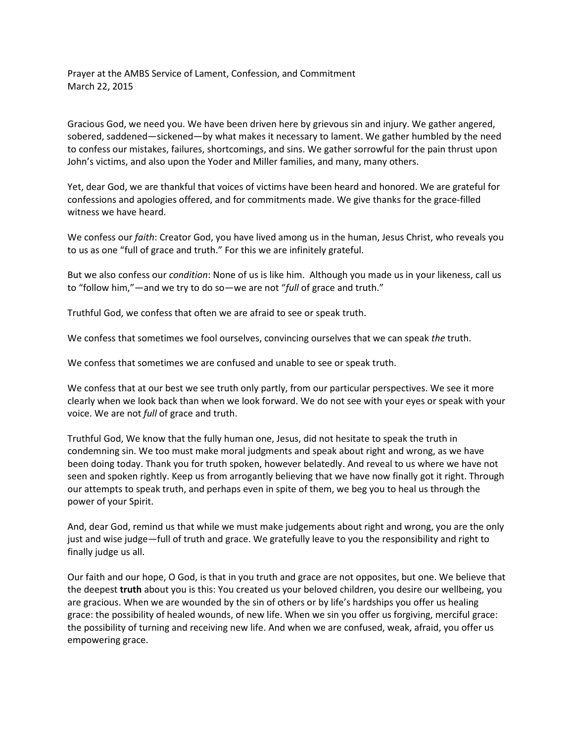Prayer at the AMBS Service of Lament, Confession, and Commitment March 22, 2015

Gracious God, we need you. We have been driven here by grievous sin and injury. We gather angered, sobered, saddened—sickened—by what makes it necessary to lament. We gather humbled by the need to confess our mistakes, failures, shortcomings, and sins. We gather sorrowful for the pain thrust upon John's victims, and also upon the Yoder and Miller families, and many, many others.

Yet, dear God, we are thankful that voices of victims have been heard and honored. We are grateful for confessions and apologies offered, and for commitments made. We give thanks for the grace-filled witness we have heard.

We confess our *faith*: Creator God, you have lived among us in the human, Jesus Christ, who reveals you to us as one "full of grace and truth." For this we are infinitely grateful.

But we also confess our *condition*: None of us is like him. Although you made us in your likeness, call us to "follow him,"—and we try to do so—we are not "*full* of grace and truth."

Truthful God, we confess that often we are afraid to see or speak truth.

We confess that sometimes we fool ourselves, convincing ourselves that we can speak *the* truth.

We confess that sometimes we are confused and unable to see or speak truth.

We confess that at our best we see truth only partly, from our particular perspectives. We see it more clearly when we look back than when we look forward. We do not see with your eyes or speak with your voice. We are not *full* of grace and truth.

Truthful God, We know that the fully human one, Jesus, did not hesitate to speak the truth in condemning sin. We too must make moral judgments and speak about right and wrong, as we have been doing today. Thank you for truth spoken, however belatedly. And reveal to us where we have not seen and spoken rightly. Keep us from arrogantly believing that we have now finally got it right. Through our attempts to speak truth, and perhaps even in spite of them, we beg you to heal us through the power of your Spirit.

And, dear God, remind us that while we must make judgements about right and wrong, you are the only just and wise judge—full of truth and grace. We gratefully leave to you the responsibility and right to finally judge us all.

Our faith and our hope, O God, is that in you truth and grace are not opposites, but one. We believe that the deepest **truth** about you is this: You created us your beloved children, you desire our wellbeing, you are gracious. When we are wounded by the sin of others or by life's hardships you offer us healing grace: the possibility of healed wounds, of new life. When we sin you offer us forgiving, merciful grace: the possibility of turning and receiving new life. And when we are confused, weak, afraid, you offer us empowering grace.